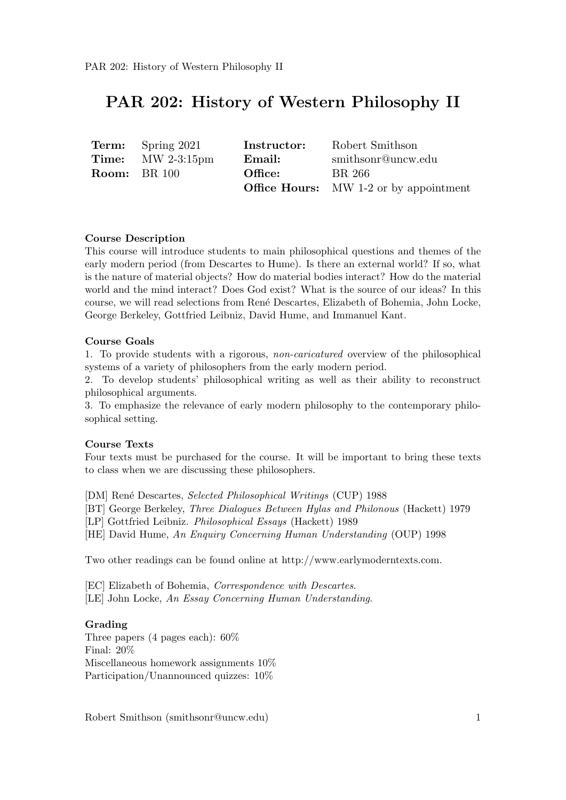# PAR 202: History of Western Philosophy II

| <b>Term:</b> Spring 2021                   | <b>Instructor:</b> | Robert Smithson                               |
|--------------------------------------------|--------------------|-----------------------------------------------|
| <b>Time:</b> $\text{MW } 2-3:15 \text{pm}$ | Email:             | smithsonr@uncw.edu                            |
| <b>Room:</b> BR 100                        | Office:            | BR 266                                        |
|                                            |                    | <b>Office Hours:</b> MW 1-2 or by appointment |

#### Course Description

This course will introduce students to main philosophical questions and themes of the early modern period (from Descartes to Hume). Is there an external world? If so, what is the nature of material objects? How do material bodies interact? How do the material world and the mind interact? Does God exist? What is the source of our ideas? In this course, we will read selections from Ren´e Descartes, Elizabeth of Bohemia, John Locke, George Berkeley, Gottfried Leibniz, David Hume, and Immanuel Kant.

#### Course Goals

1. To provide students with a rigorous, non-caricatured overview of the philosophical systems of a variety of philosophers from the early modern period.

2. To develop students' philosophical writing as well as their ability to reconstruct philosophical arguments.

3. To emphasize the relevance of early modern philosophy to the contemporary philosophical setting.

#### Course Texts

Four texts must be purchased for the course. It will be important to bring these texts to class when we are discussing these philosophers.

[DM] Ren´e Descartes, Selected Philosophical Writings (CUP) 1988

[BT] George Berkeley, Three Dialogues Between Hylas and Philonous (Hackett) 1979

[LP] Gottfried Leibniz. Philosophical Essays (Hackett) 1989

[HE] David Hume, An Enquiry Concerning Human Understanding (OUP) 1998

Two other readings can be found online at http://www.earlymoderntexts.com.

[EC] Elizabeth of Bohemia, Correspondence with Descartes.

[LE] John Locke, An Essay Concerning Human Understanding.

#### Grading

Three papers (4 pages each): 60% Final: 20% Miscellaneous homework assignments 10% Participation/Unannounced quizzes: 10%

Robert Smithson (smithsonr@uncw.edu) 1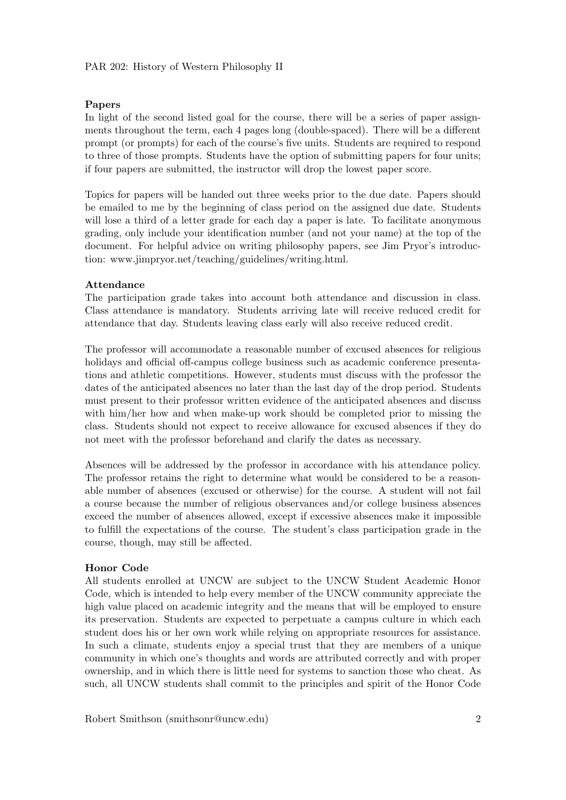#### Papers

In light of the second listed goal for the course, there will be a series of paper assignments throughout the term, each 4 pages long (double-spaced). There will be a different prompt (or prompts) for each of the course's five units. Students are required to respond to three of those prompts. Students have the option of submitting papers for four units; if four papers are submitted, the instructor will drop the lowest paper score.

Topics for papers will be handed out three weeks prior to the due date. Papers should be emailed to me by the beginning of class period on the assigned due date. Students will lose a third of a letter grade for each day a paper is late. To facilitate anonymous grading, only include your identification number (and not your name) at the top of the document. For helpful advice on writing philosophy papers, see Jim Pryor's introduction: www.jimpryor.net/teaching/guidelines/writing.html.

## Attendance

The participation grade takes into account both attendance and discussion in class. Class attendance is mandatory. Students arriving late will receive reduced credit for attendance that day. Students leaving class early will also receive reduced credit.

The professor will accommodate a reasonable number of excused absences for religious holidays and official off-campus college business such as academic conference presentations and athletic competitions. However, students must discuss with the professor the dates of the anticipated absences no later than the last day of the drop period. Students must present to their professor written evidence of the anticipated absences and discuss with him/her how and when make-up work should be completed prior to missing the class. Students should not expect to receive allowance for excused absences if they do not meet with the professor beforehand and clarify the dates as necessary.

Absences will be addressed by the professor in accordance with his attendance policy. The professor retains the right to determine what would be considered to be a reasonable number of absences (excused or otherwise) for the course. A student will not fail a course because the number of religious observances and/or college business absences exceed the number of absences allowed, except if excessive absences make it impossible to fulfill the expectations of the course. The student's class participation grade in the course, though, may still be affected.

#### Honor Code

All students enrolled at UNCW are subject to the UNCW Student Academic Honor Code, which is intended to help every member of the UNCW community appreciate the high value placed on academic integrity and the means that will be employed to ensure its preservation. Students are expected to perpetuate a campus culture in which each student does his or her own work while relying on appropriate resources for assistance. In such a climate, students enjoy a special trust that they are members of a unique community in which one's thoughts and words are attributed correctly and with proper ownership, and in which there is little need for systems to sanction those who cheat. As such, all UNCW students shall commit to the principles and spirit of the Honor Code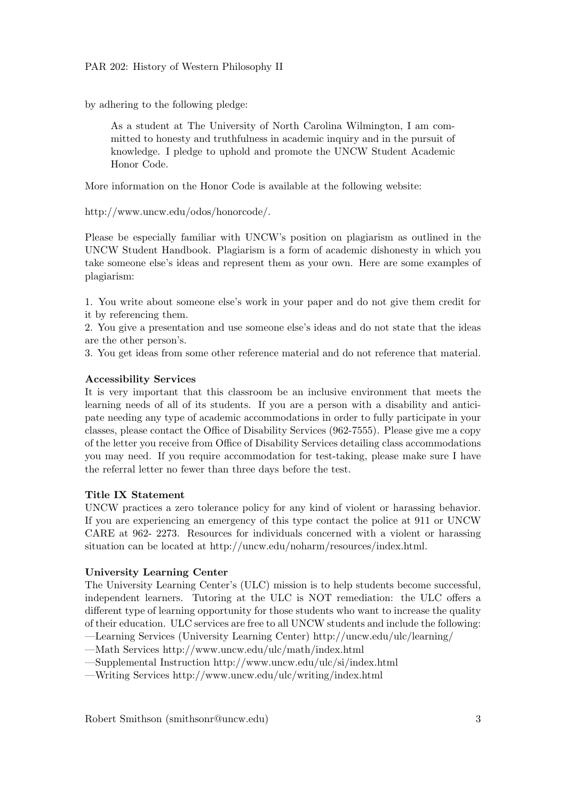by adhering to the following pledge:

As a student at The University of North Carolina Wilmington, I am committed to honesty and truthfulness in academic inquiry and in the pursuit of knowledge. I pledge to uphold and promote the UNCW Student Academic Honor Code.

More information on the Honor Code is available at the following website:

http://www.uncw.edu/odos/honorcode/.

Please be especially familiar with UNCW's position on plagiarism as outlined in the UNCW Student Handbook. Plagiarism is a form of academic dishonesty in which you take someone else's ideas and represent them as your own. Here are some examples of plagiarism:

1. You write about someone else's work in your paper and do not give them credit for it by referencing them.

2. You give a presentation and use someone else's ideas and do not state that the ideas are the other person's.

3. You get ideas from some other reference material and do not reference that material.

## Accessibility Services

It is very important that this classroom be an inclusive environment that meets the learning needs of all of its students. If you are a person with a disability and anticipate needing any type of academic accommodations in order to fully participate in your classes, please contact the Office of Disability Services (962-7555). Please give me a copy of the letter you receive from Office of Disability Services detailing class accommodations you may need. If you require accommodation for test-taking, please make sure I have the referral letter no fewer than three days before the test.

# Title IX Statement

UNCW practices a zero tolerance policy for any kind of violent or harassing behavior. If you are experiencing an emergency of this type contact the police at 911 or UNCW CARE at 962- 2273. Resources for individuals concerned with a violent or harassing situation can be located at http://uncw.edu/noharm/resources/index.html.

# University Learning Center

The University Learning Center's (ULC) mission is to help students become successful, independent learners. Tutoring at the ULC is NOT remediation: the ULC offers a different type of learning opportunity for those students who want to increase the quality of their education. ULC services are free to all UNCW students and include the following: —Learning Services (University Learning Center) http://uncw.edu/ulc/learning/

—Math Services http://www.uncw.edu/ulc/math/index.html

—Supplemental Instruction http://www.uncw.edu/ulc/si/index.html

—Writing Services http://www.uncw.edu/ulc/writing/index.html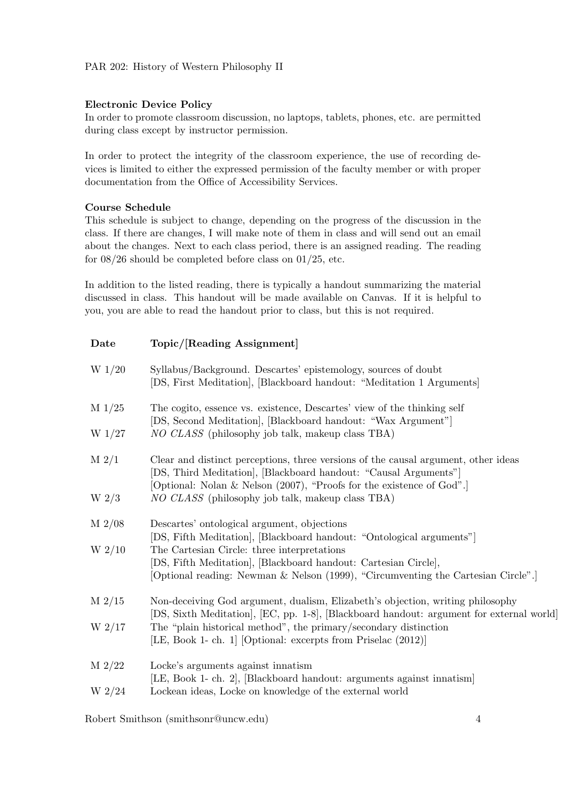# Electronic Device Policy

In order to promote classroom discussion, no laptops, tablets, phones, etc. are permitted during class except by instructor permission.

In order to protect the integrity of the classroom experience, the use of recording devices is limited to either the expressed permission of the faculty member or with proper documentation from the Office of Accessibility Services.

# Course Schedule

This schedule is subject to change, depending on the progress of the discussion in the class. If there are changes, I will make note of them in class and will send out an email about the changes. Next to each class period, there is an assigned reading. The reading for 08/26 should be completed before class on 01/25, etc.

In addition to the listed reading, there is typically a handout summarizing the material discussed in class. This handout will be made available on Canvas. If it is helpful to you, you are able to read the handout prior to class, but this is not required.

| Date      | Topic/[Reading Assignment]                                                                                                                                                 |
|-----------|----------------------------------------------------------------------------------------------------------------------------------------------------------------------------|
| W $1/20$  | Syllabus/Background. Descartes' epistemology, sources of doubt<br>[DS, First Meditation], [Blackboard handout: "Meditation 1 Arguments]                                    |
| $M\ 1/25$ | The cogito, essence vs. existence, Descartes' view of the thinking self<br>[DS, Second Meditation], [Blackboard handout: "Wax Argument"]                                   |
| $W_1/27$  | NO CLASS (philosophy job talk, makeup class TBA)                                                                                                                           |
| $M$ 2/1   | Clear and distinct perceptions, three versions of the causal argument, other ideas<br>[DS, Third Meditation], [Blackboard handout: "Causal Arguments"]                     |
| W $2/3$   | [Optional: Nolan & Nelson (2007), "Proofs for the existence of God".]<br>NO CLASS (philosophy job talk, makeup class TBA)                                                  |
| $M$ 2/08  | Descartes' ontological argument, objections<br>[DS, Fifth Meditation], [Blackboard handout: "Ontological arguments"]                                                       |
| W $2/10$  | The Cartesian Circle: three interpretations                                                                                                                                |
|           | [DS, Fifth Meditation], [Blackboard handout: Cartesian Circle],<br>[Optional reading: Newman & Nelson (1999), "Circumventing the Cartesian Circle".]                       |
| $M$ 2/15  | Non-deceiving God argument, dualism, Elizabeth's objection, writing philosophy<br>[DS, Sixth Meditation], [EC, pp. 1-8], [Blackboard handout: argument for external world] |
| W $2/17$  | The "plain historical method", the primary/secondary distinction<br>[LE, Book 1- ch. 1] [Optional: excerpts from Priselac (2012)]                                          |
| $M\ 2/22$ | Locke's arguments against innatism<br>[LE, Book 1- ch. 2], [Blackboard handout: arguments against innatism]                                                                |
| $W_2/24$  | Lockean ideas, Locke on knowledge of the external world                                                                                                                    |
|           |                                                                                                                                                                            |

Robert Smithson (smithsonr@uncw.edu) 4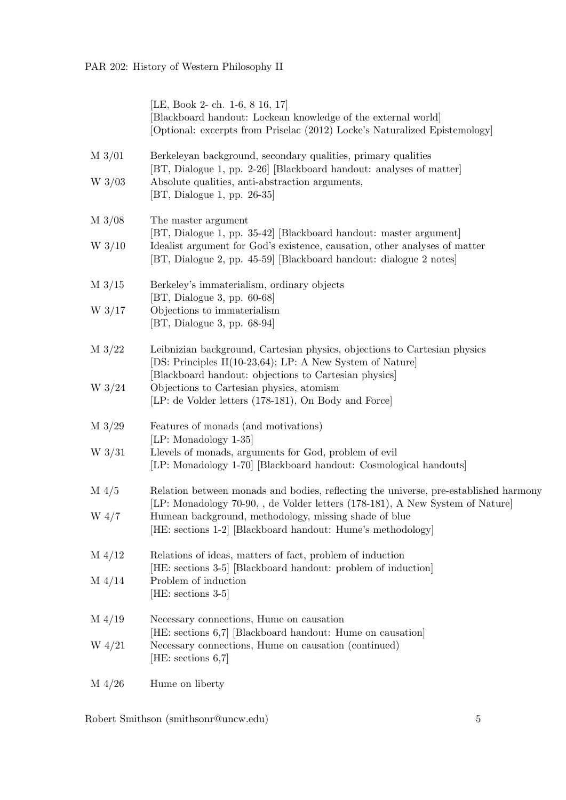|                 | [LE, Book 2- ch. 1-6, 8 16, 17]<br>[Blackboard handout: Lockean knowledge of the external world]<br>[Optional: excerpts from Priselac (2012) Locke's Naturalized Epistemology]                  |
|-----------------|-------------------------------------------------------------------------------------------------------------------------------------------------------------------------------------------------|
| $M\frac{3}{01}$ | Berkeleyan background, secondary qualities, primary qualities<br>[BT, Dialogue 1, pp. 2-26] [Blackboard handout: analyses of matter]                                                            |
| $W$ 3/03        | Absolute qualities, anti-abstraction arguments,<br>[BT, Dialogue 1, pp. $26-35$ ]                                                                                                               |
| $M\frac{3}{08}$ | The master argument<br>[BT, Dialogue 1, pp. 35-42] [Blackboard handout: master argument]                                                                                                        |
| $W_3/10$        | Idealist argument for God's existence, causation, other analyses of matter<br>[BT, Dialogue 2, pp. 45-59] [Blackboard handout: dialogue 2 notes]                                                |
| $M\frac{3}{15}$ | Berkeley's immaterialism, ordinary objects<br>$[BT, Dialogue 3, pp. 60-68]$                                                                                                                     |
| $W$ 3/17        | Objections to immaterialism<br>$[BT, Dialogue 3, pp. 68-94]$                                                                                                                                    |
| $M\frac{3}{22}$ | Leibnizian background, Cartesian physics, objections to Cartesian physics<br>[DS: Principles II(10-23,64); LP: A New System of Nature]<br>[Blackboard handout: objections to Cartesian physics] |
| W $3/24$        | Objections to Cartesian physics, atomism<br>[LP: de Volder letters (178-181), On Body and Force]                                                                                                |
| $M\frac{3}{29}$ | Features of monads (and motivations)<br>[LP: Monadology 1-35]                                                                                                                                   |
| $W$ 3/31        | Llevels of monads, arguments for God, problem of evil<br>[LP: Monadology 1-70] [Blackboard handout: Cosmological handouts]                                                                      |
| $M\ 4/5$        | Relation between monads and bodies, reflecting the universe, pre-established harmony<br>[LP: Monadology 70-90, , de Volder letters (178-181), A New System of Nature]                           |
| $W_4/7$         | Humean background, methodology, missing shade of blue<br>[HE: sections 1-2] [Blackboard handout: Hume's methodology]                                                                            |
| $M\ 4/12$       | Relations of ideas, matters of fact, problem of induction<br>[HE: sections 3-5] [Blackboard handout: problem of induction]                                                                      |
| $M\ 4/14$       | Problem of induction<br>[HE: sections 3-5]                                                                                                                                                      |
| $M\ 4/19$       | Necessary connections, Hume on causation<br>[HE: sections 6,7] [Blackboard handout: Hume on causation]                                                                                          |
| $W_4/21$        | Necessary connections, Hume on causation (continued)<br>[HE: sections $6,7$ ]                                                                                                                   |
| $M\ 4/26$       | Hume on liberty                                                                                                                                                                                 |

Robert Smithson (smithsonr@uncw.edu) 5